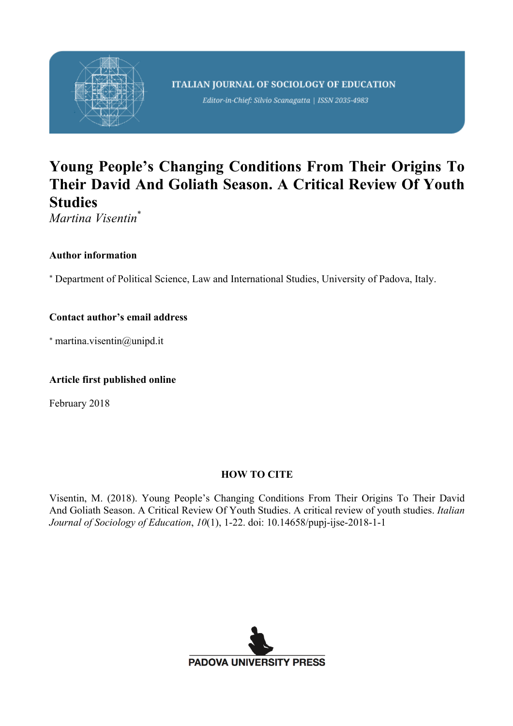

Editor-in-Chief: Silvio Scanagatta | ISSN 2035-4983

# **Young People's Changing Conditions From Their Origins To Their David And Goliath Season. A Critical Review Of Youth Studies**

*Martina Visentin*\*

# **Author information**

\* Department of Political Science, Law and International Studies, University of Padova, Italy.

# **Contact author's email address**

\* martina.visentin@unipd.it

# **Article first published online**

February 2018

# **HOW TO CITE**

Visentin, M. (2018). Young People's Changing Conditions From Their Origins To Their David And Goliath Season. A Critical Review Of Youth Studies. A critical review of youth studies. *Italian Journal of Sociology of Education*, *10*(1), 1-22. doi: 10.14658/pupj-ijse-2018-1-1

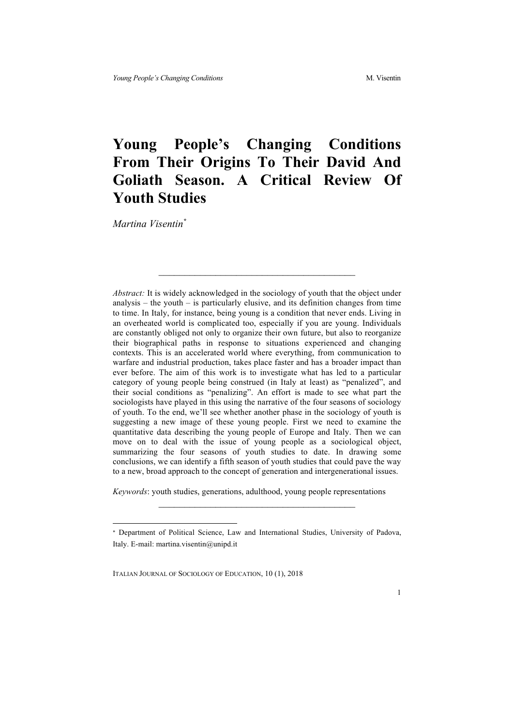# **Young People's Changing Conditions From Their Origins To Their David And Goliath Season. A Critical Review Of Youth Studies**

*Martina Visentin\**

*Abstract:* It is widely acknowledged in the sociology of youth that the object under analysis – the youth – is particularly elusive, and its definition changes from time to time. In Italy, for instance, being young is a condition that never ends. Living in an overheated world is complicated too, especially if you are young. Individuals are constantly obliged not only to organize their own future, but also to reorganize their biographical paths in response to situations experienced and changing contexts. This is an accelerated world where everything, from communication to warfare and industrial production, takes place faster and has a broader impact than ever before. The aim of this work is to investigate what has led to a particular category of young people being construed (in Italy at least) as "penalized", and their social conditions as "penalizing". An effort is made to see what part the sociologists have played in this using the narrative of the four seasons of sociology of youth. To the end, we'll see whether another phase in the sociology of youth is suggesting a new image of these young people. First we need to examine the quantitative data describing the young people of Europe and Italy. Then we can move on to deal with the issue of young people as a sociological object, summarizing the four seasons of youth studies to date. In drawing some conclusions, we can identify a fifth season of youth studies that could pave the way to a new, broad approach to the concept of generation and intergenerational issues.

*Keywords*: youth studies, generations, adulthood, young people representations

 $\mathcal{L}_\text{max}$ 

 <sup>\*</sup> Department of Political Science, Law and International Studies, University of Padova, Italy. E-mail: martina.visentin@unipd.it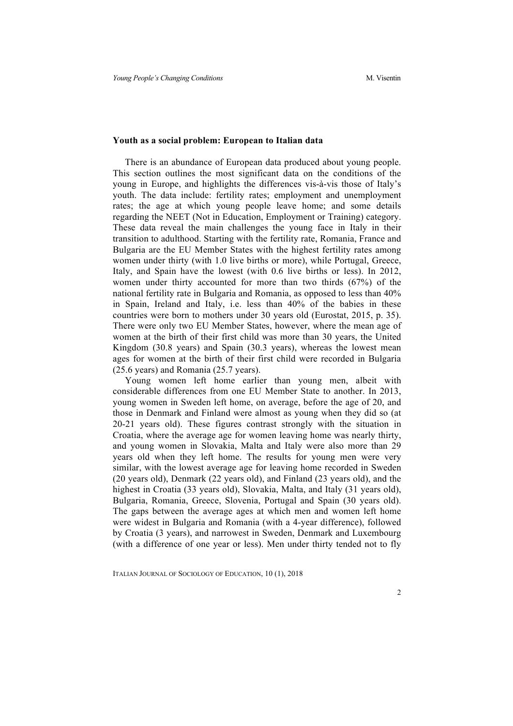#### **Youth as a social problem: European to Italian data**

There is an abundance of European data produced about young people. This section outlines the most significant data on the conditions of the young in Europe, and highlights the differences vis-à-vis those of Italy's youth. The data include: fertility rates; employment and unemployment rates; the age at which young people leave home; and some details regarding the NEET (Not in Education, Employment or Training) category. These data reveal the main challenges the young face in Italy in their transition to adulthood. Starting with the fertility rate, Romania, France and Bulgaria are the EU Member States with the highest fertility rates among women under thirty (with 1.0 live births or more), while Portugal, Greece, Italy, and Spain have the lowest (with 0.6 live births or less). In 2012, women under thirty accounted for more than two thirds (67%) of the national fertility rate in Bulgaria and Romania, as opposed to less than 40% in Spain, Ireland and Italy, i.e. less than 40% of the babies in these countries were born to mothers under 30 years old (Eurostat, 2015, p. 35). There were only two EU Member States, however, where the mean age of women at the birth of their first child was more than 30 years, the United Kingdom (30.8 years) and Spain (30.3 years), whereas the lowest mean ages for women at the birth of their first child were recorded in Bulgaria (25.6 years) and Romania (25.7 years).

Young women left home earlier than young men, albeit with considerable differences from one EU Member State to another. In 2013, young women in Sweden left home, on average, before the age of 20, and those in Denmark and Finland were almost as young when they did so (at 20-21 years old). These figures contrast strongly with the situation in Croatia, where the average age for women leaving home was nearly thirty, and young women in Slovakia, Malta and Italy were also more than 29 years old when they left home. The results for young men were very similar, with the lowest average age for leaving home recorded in Sweden (20 years old), Denmark (22 years old), and Finland (23 years old), and the highest in Croatia (33 years old), Slovakia, Malta, and Italy (31 years old), Bulgaria, Romania, Greece, Slovenia, Portugal and Spain (30 years old). The gaps between the average ages at which men and women left home were widest in Bulgaria and Romania (with a 4-year difference), followed by Croatia (3 years), and narrowest in Sweden, Denmark and Luxembourg (with a difference of one year or less). Men under thirty tended not to fly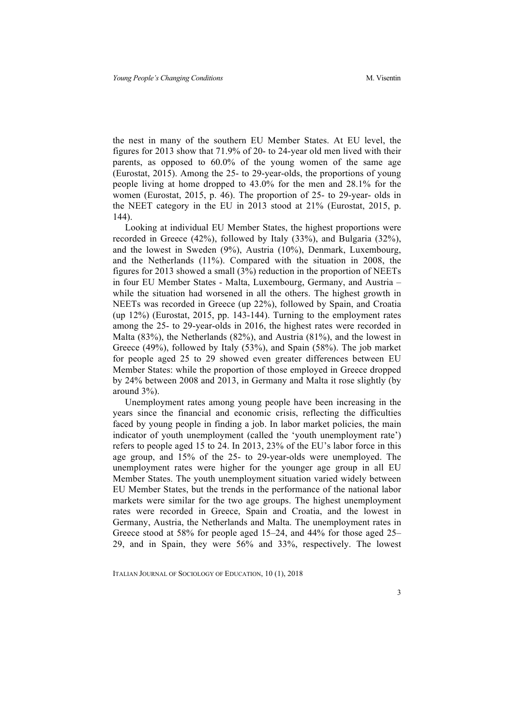the nest in many of the southern EU Member States. At EU level, the figures for 2013 show that 71.9% of 20- to 24-year old men lived with their parents, as opposed to 60.0% of the young women of the same age (Eurostat, 2015). Among the 25- to 29-year-olds, the proportions of young people living at home dropped to 43.0% for the men and 28.1% for the women (Eurostat, 2015, p. 46). The proportion of 25- to 29-year- olds in the NEET category in the EU in 2013 stood at 21% (Eurostat, 2015, p. 144).

Looking at individual EU Member States, the highest proportions were recorded in Greece (42%), followed by Italy (33%), and Bulgaria (32%), and the lowest in Sweden (9%), Austria (10%), Denmark, Luxembourg, and the Netherlands (11%). Compared with the situation in 2008, the figures for 2013 showed a small (3%) reduction in the proportion of NEETs in four EU Member States - Malta, Luxembourg, Germany, and Austria – while the situation had worsened in all the others. The highest growth in NEETs was recorded in Greece (up 22%), followed by Spain, and Croatia (up 12%) (Eurostat, 2015, pp. 143-144). Turning to the employment rates among the 25- to 29-year-olds in 2016, the highest rates were recorded in Malta (83%), the Netherlands (82%), and Austria (81%), and the lowest in Greece (49%), followed by Italy (53%), and Spain (58%). The job market for people aged 25 to 29 showed even greater differences between EU Member States: while the proportion of those employed in Greece dropped by 24% between 2008 and 2013, in Germany and Malta it rose slightly (by around 3%).

Unemployment rates among young people have been increasing in the years since the financial and economic crisis, reflecting the difficulties faced by young people in finding a job. In labor market policies, the main indicator of youth unemployment (called the 'youth unemployment rate') refers to people aged 15 to 24. In 2013, 23% of the EU's labor force in this age group, and 15% of the 25- to 29-year-olds were unemployed. The unemployment rates were higher for the younger age group in all EU Member States. The youth unemployment situation varied widely between EU Member States, but the trends in the performance of the national labor markets were similar for the two age groups. The highest unemployment rates were recorded in Greece, Spain and Croatia, and the lowest in Germany, Austria, the Netherlands and Malta. The unemployment rates in Greece stood at 58% for people aged 15–24, and 44% for those aged 25– 29, and in Spain, they were 56% and 33%, respectively. The lowest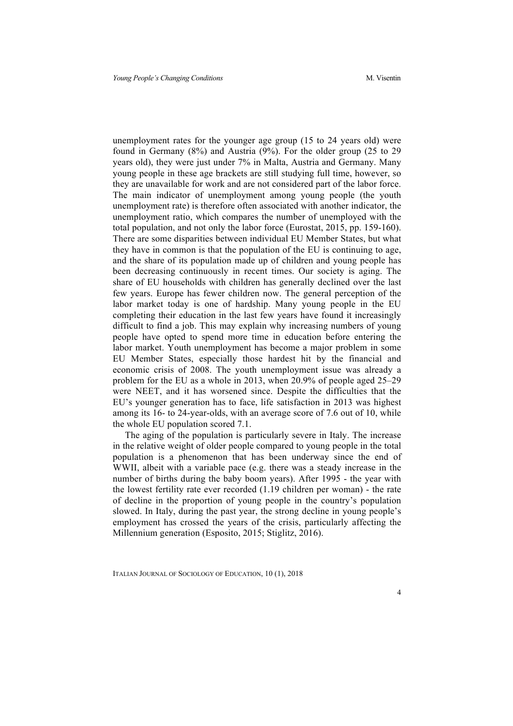unemployment rates for the younger age group (15 to 24 years old) were found in Germany (8%) and Austria (9%). For the older group (25 to 29 years old), they were just under 7% in Malta, Austria and Germany. Many young people in these age brackets are still studying full time, however, so they are unavailable for work and are not considered part of the labor force. The main indicator of unemployment among young people (the youth unemployment rate) is therefore often associated with another indicator, the unemployment ratio, which compares the number of unemployed with the total population, and not only the labor force (Eurostat, 2015, pp. 159-160). There are some disparities between individual EU Member States, but what they have in common is that the population of the EU is continuing to age, and the share of its population made up of children and young people has been decreasing continuously in recent times. Our society is aging. The share of EU households with children has generally declined over the last few years. Europe has fewer children now. The general perception of the labor market today is one of hardship. Many young people in the EU completing their education in the last few years have found it increasingly difficult to find a job. This may explain why increasing numbers of young people have opted to spend more time in education before entering the labor market. Youth unemployment has become a major problem in some EU Member States, especially those hardest hit by the financial and economic crisis of 2008. The youth unemployment issue was already a problem for the EU as a whole in 2013, when 20.9% of people aged 25–29 were NEET, and it has worsened since. Despite the difficulties that the EU's younger generation has to face, life satisfaction in 2013 was highest among its 16- to 24-year-olds, with an average score of 7.6 out of 10, while the whole EU population scored 7.1.

The aging of the population is particularly severe in Italy. The increase in the relative weight of older people compared to young people in the total population is a phenomenon that has been underway since the end of WWII, albeit with a variable pace (e.g. there was a steady increase in the number of births during the baby boom years). After 1995 - the year with the lowest fertility rate ever recorded (1.19 children per woman) - the rate of decline in the proportion of young people in the country's population slowed. In Italy, during the past year, the strong decline in young people's employment has crossed the years of the crisis, particularly affecting the Millennium generation (Esposito, 2015; Stiglitz, 2016).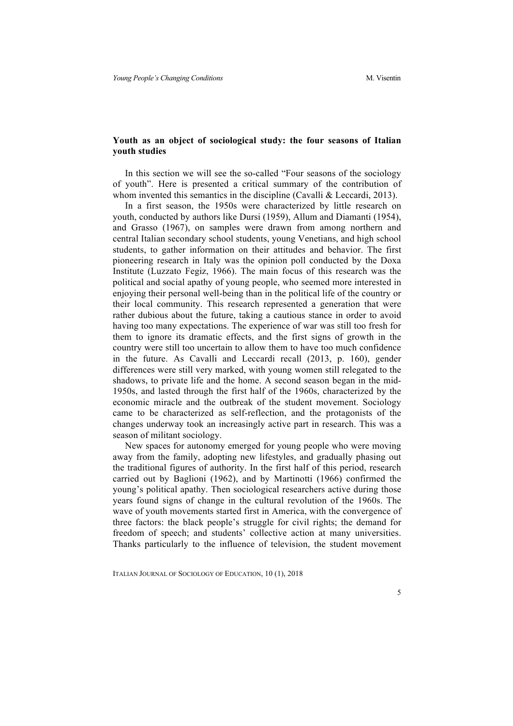## **Youth as an object of sociological study: the four seasons of Italian youth studies**

In this section we will see the so-called "Four seasons of the sociology of youth". Here is presented a critical summary of the contribution of whom invented this semantics in the discipline (Cavalli & Leccardi, 2013).

In a first season, the 1950s were characterized by little research on youth, conducted by authors like Dursi (1959), Allum and Diamanti (1954), and Grasso (1967), on samples were drawn from among northern and central Italian secondary school students, young Venetians, and high school students, to gather information on their attitudes and behavior. The first pioneering research in Italy was the opinion poll conducted by the Doxa Institute (Luzzato Fegiz, 1966). The main focus of this research was the political and social apathy of young people, who seemed more interested in enjoying their personal well-being than in the political life of the country or their local community. This research represented a generation that were rather dubious about the future, taking a cautious stance in order to avoid having too many expectations. The experience of war was still too fresh for them to ignore its dramatic effects, and the first signs of growth in the country were still too uncertain to allow them to have too much confidence in the future. As Cavalli and Leccardi recall (2013, p. 160), gender differences were still very marked, with young women still relegated to the shadows, to private life and the home. A second season began in the mid-1950s, and lasted through the first half of the 1960s, characterized by the economic miracle and the outbreak of the student movement. Sociology came to be characterized as self-reflection, and the protagonists of the changes underway took an increasingly active part in research. This was a season of militant sociology.

New spaces for autonomy emerged for young people who were moving away from the family, adopting new lifestyles, and gradually phasing out the traditional figures of authority. In the first half of this period, research carried out by Baglioni (1962), and by Martinotti (1966) confirmed the young's political apathy. Then sociological researchers active during those years found signs of change in the cultural revolution of the 1960s. The wave of youth movements started first in America, with the convergence of three factors: the black people's struggle for civil rights; the demand for freedom of speech; and students' collective action at many universities. Thanks particularly to the influence of television, the student movement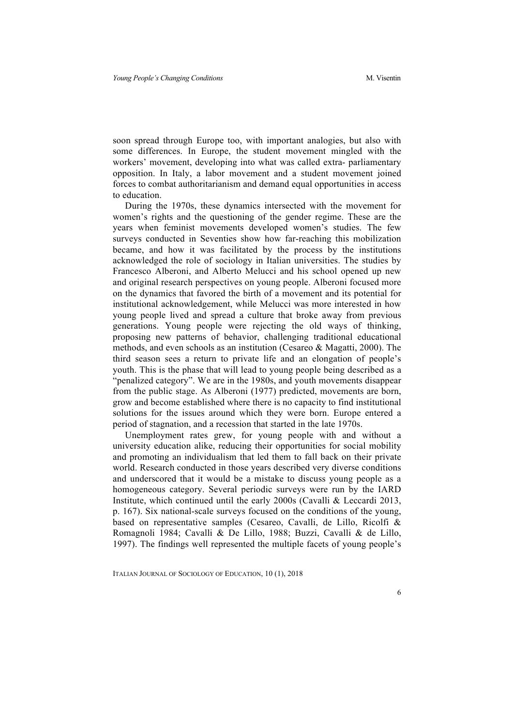soon spread through Europe too, with important analogies, but also with some differences. In Europe, the student movement mingled with the workers' movement, developing into what was called extra- parliamentary opposition. In Italy, a labor movement and a student movement joined forces to combat authoritarianism and demand equal opportunities in access to education.

During the 1970s, these dynamics intersected with the movement for women's rights and the questioning of the gender regime. These are the years when feminist movements developed women's studies. The few surveys conducted in Seventies show how far-reaching this mobilization became, and how it was facilitated by the process by the institutions acknowledged the role of sociology in Italian universities. The studies by Francesco Alberoni, and Alberto Melucci and his school opened up new and original research perspectives on young people. Alberoni focused more on the dynamics that favored the birth of a movement and its potential for institutional acknowledgement, while Melucci was more interested in how young people lived and spread a culture that broke away from previous generations. Young people were rejecting the old ways of thinking, proposing new patterns of behavior, challenging traditional educational methods, and even schools as an institution (Cesareo & Magatti, 2000). The third season sees a return to private life and an elongation of people's youth. This is the phase that will lead to young people being described as a "penalized category". We are in the 1980s, and youth movements disappear from the public stage. As Alberoni (1977) predicted, movements are born, grow and become established where there is no capacity to find institutional solutions for the issues around which they were born. Europe entered a period of stagnation, and a recession that started in the late 1970s.

Unemployment rates grew, for young people with and without a university education alike, reducing their opportunities for social mobility and promoting an individualism that led them to fall back on their private world. Research conducted in those years described very diverse conditions and underscored that it would be a mistake to discuss young people as a homogeneous category. Several periodic surveys were run by the IARD Institute, which continued until the early 2000s (Cavalli & Leccardi 2013, p. 167). Six national-scale surveys focused on the conditions of the young, based on representative samples (Cesareo, Cavalli, de Lillo, Ricolfi & Romagnoli 1984; Cavalli & De Lillo, 1988; Buzzi, Cavalli & de Lillo, 1997). The findings well represented the multiple facets of young people's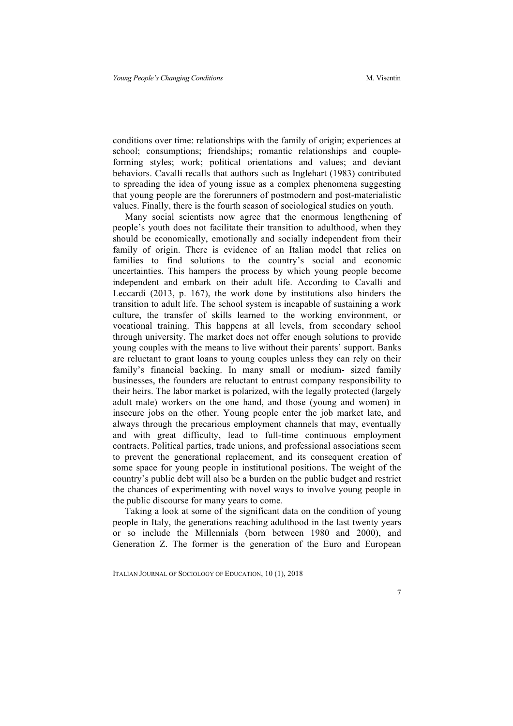conditions over time: relationships with the family of origin; experiences at school; consumptions; friendships; romantic relationships and coupleforming styles; work; political orientations and values; and deviant behaviors. Cavalli recalls that authors such as Inglehart (1983) contributed to spreading the idea of young issue as a complex phenomena suggesting that young people are the forerunners of postmodern and post-materialistic values. Finally, there is the fourth season of sociological studies on youth.

Many social scientists now agree that the enormous lengthening of people's youth does not facilitate their transition to adulthood, when they should be economically, emotionally and socially independent from their family of origin. There is evidence of an Italian model that relies on families to find solutions to the country's social and economic uncertainties. This hampers the process by which young people become independent and embark on their adult life. According to Cavalli and Leccardi (2013, p. 167), the work done by institutions also hinders the transition to adult life. The school system is incapable of sustaining a work culture, the transfer of skills learned to the working environment, or vocational training. This happens at all levels, from secondary school through university. The market does not offer enough solutions to provide young couples with the means to live without their parents' support. Banks are reluctant to grant loans to young couples unless they can rely on their family's financial backing. In many small or medium- sized family businesses, the founders are reluctant to entrust company responsibility to their heirs. The labor market is polarized, with the legally protected (largely adult male) workers on the one hand, and those (young and women) in insecure jobs on the other. Young people enter the job market late, and always through the precarious employment channels that may, eventually and with great difficulty, lead to full-time continuous employment contracts. Political parties, trade unions, and professional associations seem to prevent the generational replacement, and its consequent creation of some space for young people in institutional positions. The weight of the country's public debt will also be a burden on the public budget and restrict the chances of experimenting with novel ways to involve young people in the public discourse for many years to come.

Taking a look at some of the significant data on the condition of young people in Italy, the generations reaching adulthood in the last twenty years or so include the Millennials (born between 1980 and 2000), and Generation Z. The former is the generation of the Euro and European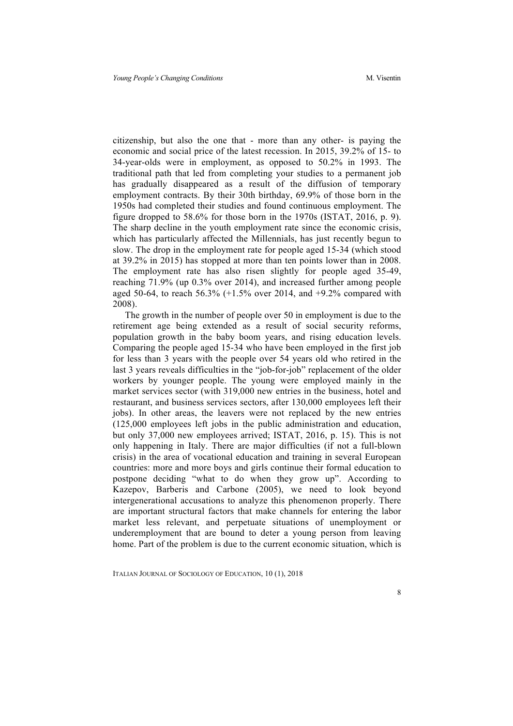citizenship, but also the one that - more than any other- is paying the economic and social price of the latest recession. In 2015, 39.2% of 15- to 34-year-olds were in employment, as opposed to 50.2% in 1993. The traditional path that led from completing your studies to a permanent job has gradually disappeared as a result of the diffusion of temporary employment contracts. By their 30th birthday, 69.9% of those born in the 1950s had completed their studies and found continuous employment. The figure dropped to 58.6% for those born in the 1970s (ISTAT, 2016, p. 9). The sharp decline in the youth employment rate since the economic crisis, which has particularly affected the Millennials, has just recently begun to slow. The drop in the employment rate for people aged 15-34 (which stood at 39.2% in 2015) has stopped at more than ten points lower than in 2008. The employment rate has also risen slightly for people aged 35-49, reaching 71.9% (up 0.3% over 2014), and increased further among people aged 50-64, to reach 56.3%  $(+1.5%$  over 2014, and  $+9.2%$  compared with 2008).

The growth in the number of people over 50 in employment is due to the retirement age being extended as a result of social security reforms, population growth in the baby boom years, and rising education levels. Comparing the people aged 15-34 who have been employed in the first job for less than 3 years with the people over 54 years old who retired in the last 3 years reveals difficulties in the "job-for-job" replacement of the older workers by younger people. The young were employed mainly in the market services sector (with 319,000 new entries in the business, hotel and restaurant, and business services sectors, after 130,000 employees left their jobs). In other areas, the leavers were not replaced by the new entries (125,000 employees left jobs in the public administration and education, but only 37,000 new employees arrived; ISTAT, 2016, p. 15). This is not only happening in Italy. There are major difficulties (if not a full-blown crisis) in the area of vocational education and training in several European countries: more and more boys and girls continue their formal education to postpone deciding "what to do when they grow up". According to Kazepov, Barberis and Carbone (2005), we need to look beyond intergenerational accusations to analyze this phenomenon properly. There are important structural factors that make channels for entering the labor market less relevant, and perpetuate situations of unemployment or underemployment that are bound to deter a young person from leaving home. Part of the problem is due to the current economic situation, which is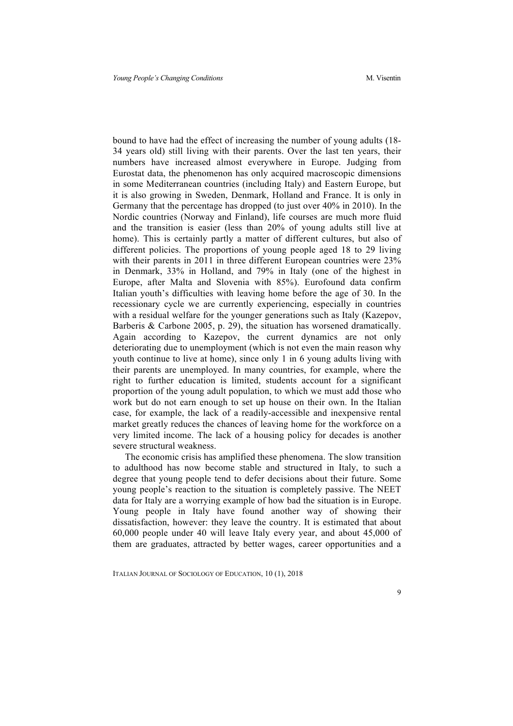bound to have had the effect of increasing the number of young adults (18- 34 years old) still living with their parents. Over the last ten years, their numbers have increased almost everywhere in Europe. Judging from Eurostat data, the phenomenon has only acquired macroscopic dimensions in some Mediterranean countries (including Italy) and Eastern Europe, but it is also growing in Sweden, Denmark, Holland and France. It is only in Germany that the percentage has dropped (to just over 40% in 2010). In the Nordic countries (Norway and Finland), life courses are much more fluid and the transition is easier (less than 20% of young adults still live at home). This is certainly partly a matter of different cultures, but also of different policies. The proportions of young people aged 18 to 29 living with their parents in 2011 in three different European countries were 23% in Denmark, 33% in Holland, and 79% in Italy (one of the highest in Europe, after Malta and Slovenia with 85%). Eurofound data confirm Italian youth's difficulties with leaving home before the age of 30. In the recessionary cycle we are currently experiencing, especially in countries with a residual welfare for the younger generations such as Italy (Kazepov, Barberis & Carbone 2005, p. 29), the situation has worsened dramatically. Again according to Kazepov, the current dynamics are not only deteriorating due to unemployment (which is not even the main reason why youth continue to live at home), since only 1 in 6 young adults living with their parents are unemployed. In many countries, for example, where the right to further education is limited, students account for a significant proportion of the young adult population, to which we must add those who work but do not earn enough to set up house on their own. In the Italian case, for example, the lack of a readily-accessible and inexpensive rental market greatly reduces the chances of leaving home for the workforce on a very limited income. The lack of a housing policy for decades is another severe structural weakness.

The economic crisis has amplified these phenomena. The slow transition to adulthood has now become stable and structured in Italy, to such a degree that young people tend to defer decisions about their future. Some young people's reaction to the situation is completely passive. The NEET data for Italy are a worrying example of how bad the situation is in Europe. Young people in Italy have found another way of showing their dissatisfaction, however: they leave the country. It is estimated that about 60,000 people under 40 will leave Italy every year, and about 45,000 of them are graduates, attracted by better wages, career opportunities and a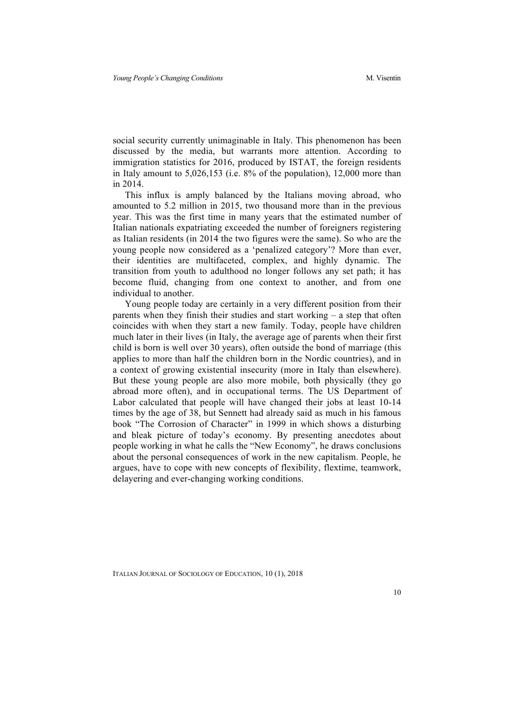social security currently unimaginable in Italy. This phenomenon has been discussed by the media, but warrants more attention. According to immigration statistics for 2016, produced by ISTAT, the foreign residents in Italy amount to 5,026,153 (i.e. 8% of the population), 12,000 more than in 2014.

This influx is amply balanced by the Italians moving abroad, who amounted to 5.2 million in 2015, two thousand more than in the previous year. This was the first time in many years that the estimated number of Italian nationals expatriating exceeded the number of foreigners registering as Italian residents (in 2014 the two figures were the same). So who are the young people now considered as a 'penalized category'? More than ever, their identities are multifaceted, complex, and highly dynamic. The transition from youth to adulthood no longer follows any set path; it has become fluid, changing from one context to another, and from one individual to another.

Young people today are certainly in a very different position from their parents when they finish their studies and start working – a step that often coincides with when they start a new family. Today, people have children much later in their lives (in Italy, the average age of parents when their first child is born is well over 30 years), often outside the bond of marriage (this applies to more than half the children born in the Nordic countries), and in a context of growing existential insecurity (more in Italy than elsewhere). But these young people are also more mobile, both physically (they go abroad more often), and in occupational terms. The US Department of Labor calculated that people will have changed their jobs at least 10-14 times by the age of 38, but Sennett had already said as much in his famous book "The Corrosion of Character" in 1999 in which shows a disturbing and bleak picture of today's economy. By presenting anecdotes about people working in what he calls the "New Economy", he draws conclusions about the personal consequences of work in the new capitalism. People, he argues, have to cope with new concepts of flexibility, flextime, teamwork, delayering and ever-changing working conditions.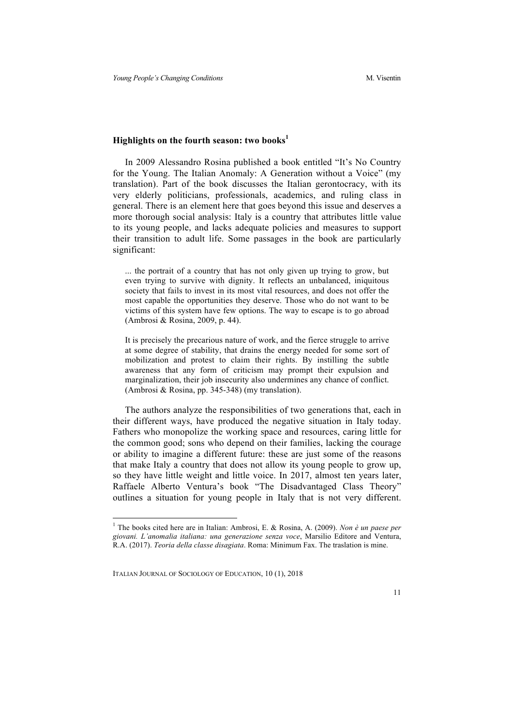## **Highlights on the fourth season: two books<sup>1</sup>**

In 2009 Alessandro Rosina published a book entitled "It's No Country for the Young. The Italian Anomaly: A Generation without a Voice" (my translation). Part of the book discusses the Italian gerontocracy, with its very elderly politicians, professionals, academics, and ruling class in general. There is an element here that goes beyond this issue and deserves a more thorough social analysis: Italy is a country that attributes little value to its young people, and lacks adequate policies and measures to support their transition to adult life. Some passages in the book are particularly significant:

... the portrait of a country that has not only given up trying to grow, but even trying to survive with dignity. It reflects an unbalanced, iniquitous society that fails to invest in its most vital resources, and does not offer the most capable the opportunities they deserve. Those who do not want to be victims of this system have few options. The way to escape is to go abroad (Ambrosi & Rosina, 2009, p. 44).

It is precisely the precarious nature of work, and the fierce struggle to arrive at some degree of stability, that drains the energy needed for some sort of mobilization and protest to claim their rights. By instilling the subtle awareness that any form of criticism may prompt their expulsion and marginalization, their job insecurity also undermines any chance of conflict. (Ambrosi & Rosina, pp. 345-348) (my translation).

The authors analyze the responsibilities of two generations that, each in their different ways, have produced the negative situation in Italy today. Fathers who monopolize the working space and resources, caring little for the common good; sons who depend on their families, lacking the courage or ability to imagine a different future: these are just some of the reasons that make Italy a country that does not allow its young people to grow up, so they have little weight and little voice. In 2017, almost ten years later, Raffaele Alberto Ventura's book "The Disadvantaged Class Theory" outlines a situation for young people in Italy that is not very different.

 <sup>1</sup> The books cited here are in Italian: Ambrosi, E. & Rosina, A. (2009). *Non è un paese per giovani. L'anomalia italiana: una generazione senza voce*, Marsilio Editore and Ventura, R.A. (2017). *Teoria della classe disagiata*. Roma: Minimum Fax. The traslation is mine.

ITALIAN JOURNAL OF SOCIOLOGY OF EDUCATION, 10 (1), 2018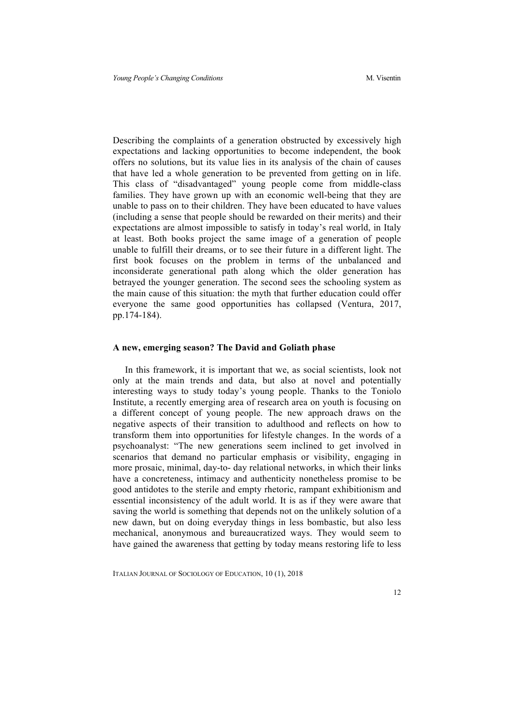Describing the complaints of a generation obstructed by excessively high expectations and lacking opportunities to become independent, the book offers no solutions, but its value lies in its analysis of the chain of causes that have led a whole generation to be prevented from getting on in life. This class of "disadvantaged" young people come from middle-class families. They have grown up with an economic well-being that they are unable to pass on to their children. They have been educated to have values (including a sense that people should be rewarded on their merits) and their expectations are almost impossible to satisfy in today's real world, in Italy at least. Both books project the same image of a generation of people unable to fulfill their dreams, or to see their future in a different light. The first book focuses on the problem in terms of the unbalanced and inconsiderate generational path along which the older generation has betrayed the younger generation. The second sees the schooling system as the main cause of this situation: the myth that further education could offer everyone the same good opportunities has collapsed (Ventura, 2017, pp.174-184).

### **A new, emerging season? The David and Goliath phase**

In this framework, it is important that we, as social scientists, look not only at the main trends and data, but also at novel and potentially interesting ways to study today's young people. Thanks to the Toniolo Institute, a recently emerging area of research area on youth is focusing on a different concept of young people. The new approach draws on the negative aspects of their transition to adulthood and reflects on how to transform them into opportunities for lifestyle changes. In the words of a psychoanalyst: "The new generations seem inclined to get involved in scenarios that demand no particular emphasis or visibility, engaging in more prosaic, minimal, day-to- day relational networks, in which their links have a concreteness, intimacy and authenticity nonetheless promise to be good antidotes to the sterile and empty rhetoric, rampant exhibitionism and essential inconsistency of the adult world. It is as if they were aware that saving the world is something that depends not on the unlikely solution of a new dawn, but on doing everyday things in less bombastic, but also less mechanical, anonymous and bureaucratized ways. They would seem to have gained the awareness that getting by today means restoring life to less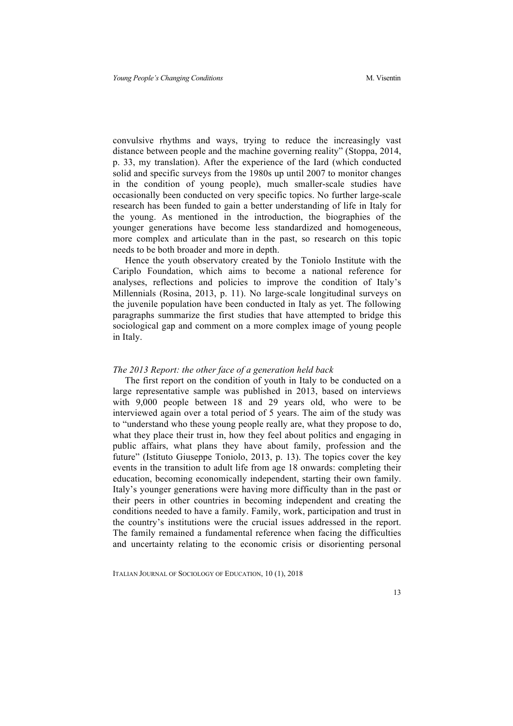convulsive rhythms and ways, trying to reduce the increasingly vast distance between people and the machine governing reality" (Stoppa, 2014, p. 33, my translation). After the experience of the Iard (which conducted solid and specific surveys from the 1980s up until 2007 to monitor changes in the condition of young people), much smaller-scale studies have occasionally been conducted on very specific topics. No further large-scale research has been funded to gain a better understanding of life in Italy for the young. As mentioned in the introduction, the biographies of the younger generations have become less standardized and homogeneous, more complex and articulate than in the past, so research on this topic needs to be both broader and more in depth.

Hence the youth observatory created by the Toniolo Institute with the Cariplo Foundation, which aims to become a national reference for analyses, reflections and policies to improve the condition of Italy's Millennials (Rosina, 2013, p. 11). No large-scale longitudinal surveys on the juvenile population have been conducted in Italy as yet. The following paragraphs summarize the first studies that have attempted to bridge this sociological gap and comment on a more complex image of young people in Italy.

#### *The 2013 Report: the other face of a generation held back*

The first report on the condition of youth in Italy to be conducted on a large representative sample was published in 2013, based on interviews with 9,000 people between 18 and 29 years old, who were to be interviewed again over a total period of 5 years. The aim of the study was to "understand who these young people really are, what they propose to do, what they place their trust in, how they feel about politics and engaging in public affairs, what plans they have about family, profession and the future" (Istituto Giuseppe Toniolo, 2013, p. 13). The topics cover the key events in the transition to adult life from age 18 onwards: completing their education, becoming economically independent, starting their own family. Italy's younger generations were having more difficulty than in the past or their peers in other countries in becoming independent and creating the conditions needed to have a family. Family, work, participation and trust in the country's institutions were the crucial issues addressed in the report. The family remained a fundamental reference when facing the difficulties and uncertainty relating to the economic crisis or disorienting personal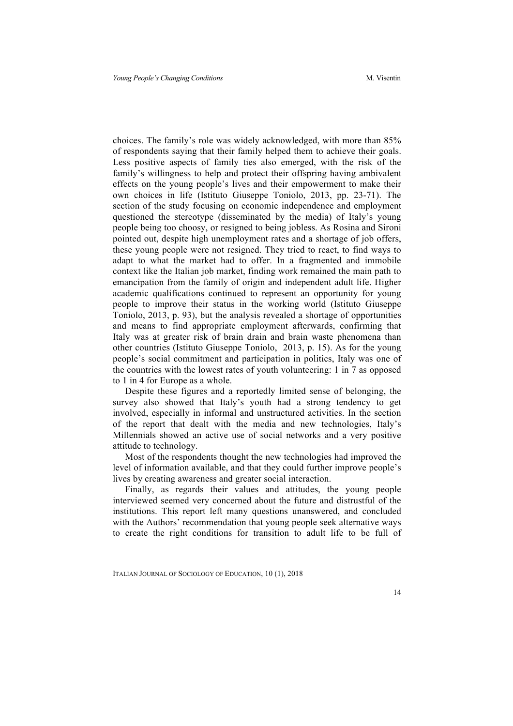choices. The family's role was widely acknowledged, with more than 85% of respondents saying that their family helped them to achieve their goals. Less positive aspects of family ties also emerged, with the risk of the family's willingness to help and protect their offspring having ambivalent effects on the young people's lives and their empowerment to make their own choices in life (Istituto Giuseppe Toniolo, 2013, pp. 23-71). The section of the study focusing on economic independence and employment questioned the stereotype (disseminated by the media) of Italy's young people being too choosy, or resigned to being jobless. As Rosina and Sironi pointed out, despite high unemployment rates and a shortage of job offers, these young people were not resigned. They tried to react, to find ways to adapt to what the market had to offer. In a fragmented and immobile context like the Italian job market, finding work remained the main path to emancipation from the family of origin and independent adult life. Higher academic qualifications continued to represent an opportunity for young people to improve their status in the working world (Istituto Giuseppe Toniolo, 2013, p. 93), but the analysis revealed a shortage of opportunities and means to find appropriate employment afterwards, confirming that Italy was at greater risk of brain drain and brain waste phenomena than other countries (Istituto Giuseppe Toniolo, 2013, p. 15). As for the young people's social commitment and participation in politics, Italy was one of the countries with the lowest rates of youth volunteering: 1 in 7 as opposed to 1 in 4 for Europe as a whole.

Despite these figures and a reportedly limited sense of belonging, the survey also showed that Italy's youth had a strong tendency to get involved, especially in informal and unstructured activities. In the section of the report that dealt with the media and new technologies, Italy's Millennials showed an active use of social networks and a very positive attitude to technology.

Most of the respondents thought the new technologies had improved the level of information available, and that they could further improve people's lives by creating awareness and greater social interaction.

Finally, as regards their values and attitudes, the young people interviewed seemed very concerned about the future and distrustful of the institutions. This report left many questions unanswered, and concluded with the Authors' recommendation that young people seek alternative ways to create the right conditions for transition to adult life to be full of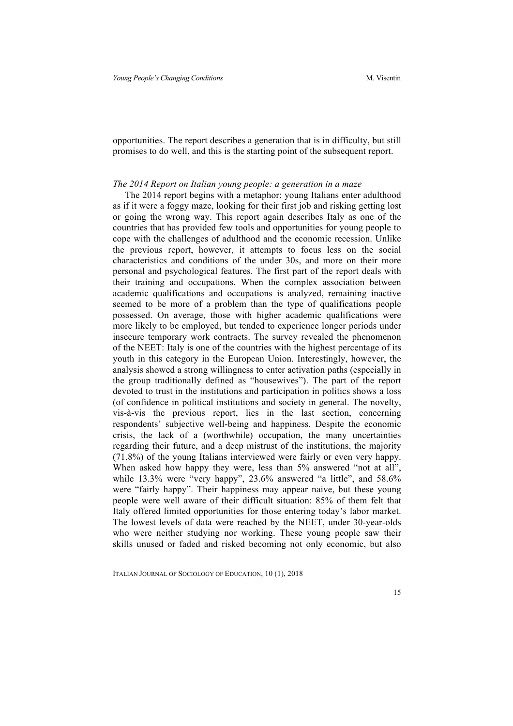opportunities. The report describes a generation that is in difficulty, but still promises to do well, and this is the starting point of the subsequent report.

## *The 2014 Report on Italian young people: a generation in a maze*

The 2014 report begins with a metaphor: young Italians enter adulthood as if it were a foggy maze, looking for their first job and risking getting lost or going the wrong way. This report again describes Italy as one of the countries that has provided few tools and opportunities for young people to cope with the challenges of adulthood and the economic recession. Unlike the previous report, however, it attempts to focus less on the social characteristics and conditions of the under 30s, and more on their more personal and psychological features. The first part of the report deals with their training and occupations. When the complex association between academic qualifications and occupations is analyzed, remaining inactive seemed to be more of a problem than the type of qualifications people possessed. On average, those with higher academic qualifications were more likely to be employed, but tended to experience longer periods under insecure temporary work contracts. The survey revealed the phenomenon of the NEET: Italy is one of the countries with the highest percentage of its youth in this category in the European Union. Interestingly, however, the analysis showed a strong willingness to enter activation paths (especially in the group traditionally defined as "housewives"). The part of the report devoted to trust in the institutions and participation in politics shows a loss (of confidence in political institutions and society in general. The novelty, vis-à-vis the previous report, lies in the last section, concerning respondents' subjective well-being and happiness. Despite the economic crisis, the lack of a (worthwhile) occupation, the many uncertainties regarding their future, and a deep mistrust of the institutions, the majority (71.8%) of the young Italians interviewed were fairly or even very happy. When asked how happy they were, less than 5% answered "not at all", while 13.3% were "very happy", 23.6% answered "a little", and 58.6% were "fairly happy". Their happiness may appear naive, but these young people were well aware of their difficult situation: 85% of them felt that Italy offered limited opportunities for those entering today's labor market. The lowest levels of data were reached by the NEET, under 30-year-olds who were neither studying nor working. These young people saw their skills unused or faded and risked becoming not only economic, but also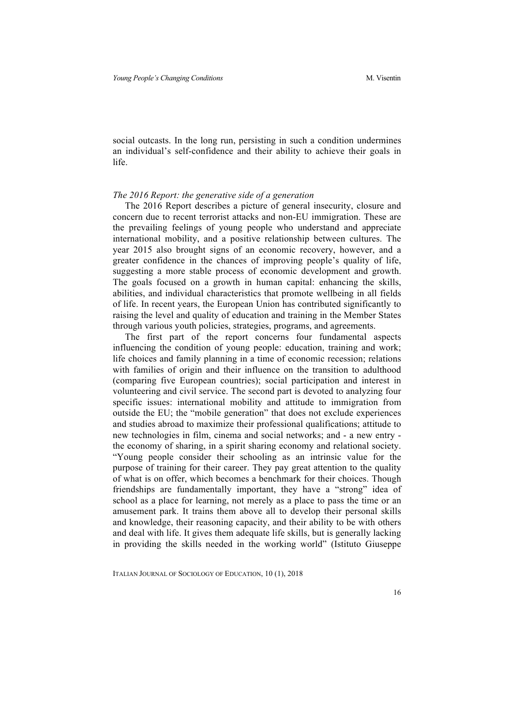social outcasts. In the long run, persisting in such a condition undermines an individual's self-confidence and their ability to achieve their goals in life.

### *The 2016 Report: the generative side of a generation*

The 2016 Report describes a picture of general insecurity, closure and concern due to recent terrorist attacks and non-EU immigration. These are the prevailing feelings of young people who understand and appreciate international mobility, and a positive relationship between cultures. The year 2015 also brought signs of an economic recovery, however, and a greater confidence in the chances of improving people's quality of life, suggesting a more stable process of economic development and growth. The goals focused on a growth in human capital: enhancing the skills, abilities, and individual characteristics that promote wellbeing in all fields of life. In recent years, the European Union has contributed significantly to raising the level and quality of education and training in the Member States through various youth policies, strategies, programs, and agreements.

The first part of the report concerns four fundamental aspects influencing the condition of young people: education, training and work; life choices and family planning in a time of economic recession; relations with families of origin and their influence on the transition to adulthood (comparing five European countries); social participation and interest in volunteering and civil service. The second part is devoted to analyzing four specific issues: international mobility and attitude to immigration from outside the EU; the "mobile generation" that does not exclude experiences and studies abroad to maximize their professional qualifications; attitude to new technologies in film, cinema and social networks; and - a new entry the economy of sharing, in a spirit sharing economy and relational society. "Young people consider their schooling as an intrinsic value for the purpose of training for their career. They pay great attention to the quality of what is on offer, which becomes a benchmark for their choices. Though friendships are fundamentally important, they have a "strong" idea of school as a place for learning, not merely as a place to pass the time or an amusement park. It trains them above all to develop their personal skills and knowledge, their reasoning capacity, and their ability to be with others and deal with life. It gives them adequate life skills, but is generally lacking in providing the skills needed in the working world" (Istituto Giuseppe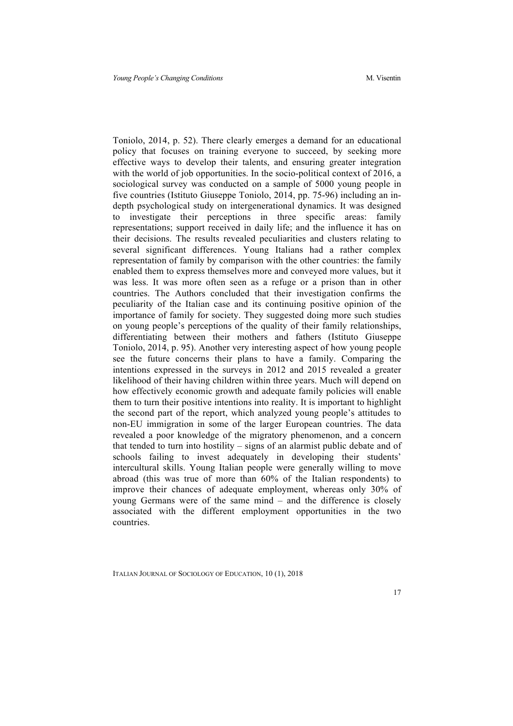Toniolo, 2014, p. 52). There clearly emerges a demand for an educational policy that focuses on training everyone to succeed, by seeking more effective ways to develop their talents, and ensuring greater integration with the world of job opportunities. In the socio-political context of 2016, a sociological survey was conducted on a sample of 5000 young people in five countries (Istituto Giuseppe Toniolo, 2014, pp. 75-96) including an indepth psychological study on intergenerational dynamics. It was designed to investigate their perceptions in three specific areas: family representations; support received in daily life; and the influence it has on their decisions. The results revealed peculiarities and clusters relating to several significant differences. Young Italians had a rather complex representation of family by comparison with the other countries: the family enabled them to express themselves more and conveyed more values, but it was less. It was more often seen as a refuge or a prison than in other countries. The Authors concluded that their investigation confirms the peculiarity of the Italian case and its continuing positive opinion of the importance of family for society. They suggested doing more such studies on young people's perceptions of the quality of their family relationships, differentiating between their mothers and fathers (Istituto Giuseppe Toniolo, 2014, p. 95). Another very interesting aspect of how young people see the future concerns their plans to have a family. Comparing the intentions expressed in the surveys in 2012 and 2015 revealed a greater likelihood of their having children within three years. Much will depend on how effectively economic growth and adequate family policies will enable them to turn their positive intentions into reality. It is important to highlight the second part of the report, which analyzed young people's attitudes to non-EU immigration in some of the larger European countries. The data revealed a poor knowledge of the migratory phenomenon, and a concern that tended to turn into hostility – signs of an alarmist public debate and of schools failing to invest adequately in developing their students' intercultural skills. Young Italian people were generally willing to move abroad (this was true of more than 60% of the Italian respondents) to improve their chances of adequate employment, whereas only 30% of young Germans were of the same mind – and the difference is closely associated with the different employment opportunities in the two countries.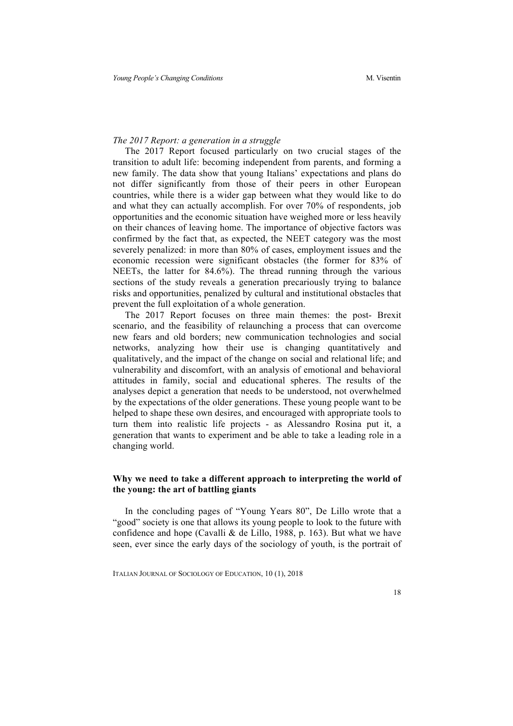## *The 2017 Report: a generation in a struggle*

The 2017 Report focused particularly on two crucial stages of the transition to adult life: becoming independent from parents, and forming a new family. The data show that young Italians' expectations and plans do not differ significantly from those of their peers in other European countries, while there is a wider gap between what they would like to do and what they can actually accomplish. For over 70% of respondents, job opportunities and the economic situation have weighed more or less heavily on their chances of leaving home. The importance of objective factors was confirmed by the fact that, as expected, the NEET category was the most severely penalized: in more than 80% of cases, employment issues and the economic recession were significant obstacles (the former for 83% of NEETs, the latter for 84.6%). The thread running through the various sections of the study reveals a generation precariously trying to balance risks and opportunities, penalized by cultural and institutional obstacles that prevent the full exploitation of a whole generation.

The 2017 Report focuses on three main themes: the post- Brexit scenario, and the feasibility of relaunching a process that can overcome new fears and old borders; new communication technologies and social networks, analyzing how their use is changing quantitatively and qualitatively, and the impact of the change on social and relational life; and vulnerability and discomfort, with an analysis of emotional and behavioral attitudes in family, social and educational spheres. The results of the analyses depict a generation that needs to be understood, not overwhelmed by the expectations of the older generations. These young people want to be helped to shape these own desires, and encouraged with appropriate tools to turn them into realistic life projects - as Alessandro Rosina put it, a generation that wants to experiment and be able to take a leading role in a changing world.

## **Why we need to take a different approach to interpreting the world of the young: the art of battling giants**

In the concluding pages of "Young Years 80", De Lillo wrote that a "good" society is one that allows its young people to look to the future with confidence and hope (Cavalli & de Lillo, 1988, p. 163). But what we have seen, ever since the early days of the sociology of youth, is the portrait of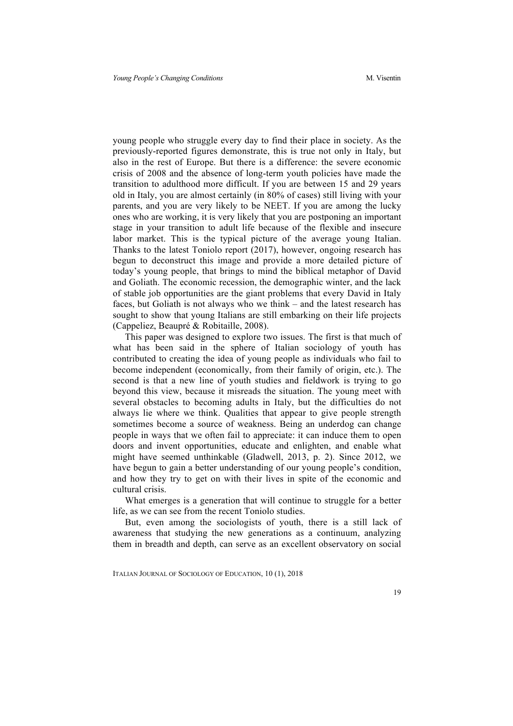young people who struggle every day to find their place in society. As the previously-reported figures demonstrate, this is true not only in Italy, but also in the rest of Europe. But there is a difference: the severe economic crisis of 2008 and the absence of long-term youth policies have made the transition to adulthood more difficult. If you are between 15 and 29 years old in Italy, you are almost certainly (in 80% of cases) still living with your parents, and you are very likely to be NEET. If you are among the lucky ones who are working, it is very likely that you are postponing an important stage in your transition to adult life because of the flexible and insecure labor market. This is the typical picture of the average young Italian. Thanks to the latest Toniolo report (2017), however, ongoing research has begun to deconstruct this image and provide a more detailed picture of today's young people, that brings to mind the biblical metaphor of David and Goliath. The economic recession, the demographic winter, and the lack of stable job opportunities are the giant problems that every David in Italy faces, but Goliath is not always who we think – and the latest research has sought to show that young Italians are still embarking on their life projects (Cappeliez, Beaupré & Robitaille, 2008).

This paper was designed to explore two issues. The first is that much of what has been said in the sphere of Italian sociology of youth has contributed to creating the idea of young people as individuals who fail to become independent (economically, from their family of origin, etc.). The second is that a new line of youth studies and fieldwork is trying to go beyond this view, because it misreads the situation. The young meet with several obstacles to becoming adults in Italy, but the difficulties do not always lie where we think. Qualities that appear to give people strength sometimes become a source of weakness. Being an underdog can change people in ways that we often fail to appreciate: it can induce them to open doors and invent opportunities, educate and enlighten, and enable what might have seemed unthinkable (Gladwell, 2013, p. 2). Since 2012, we have begun to gain a better understanding of our young people's condition, and how they try to get on with their lives in spite of the economic and cultural crisis.

What emerges is a generation that will continue to struggle for a better life, as we can see from the recent Toniolo studies.

But, even among the sociologists of youth, there is a still lack of awareness that studying the new generations as a continuum, analyzing them in breadth and depth, can serve as an excellent observatory on social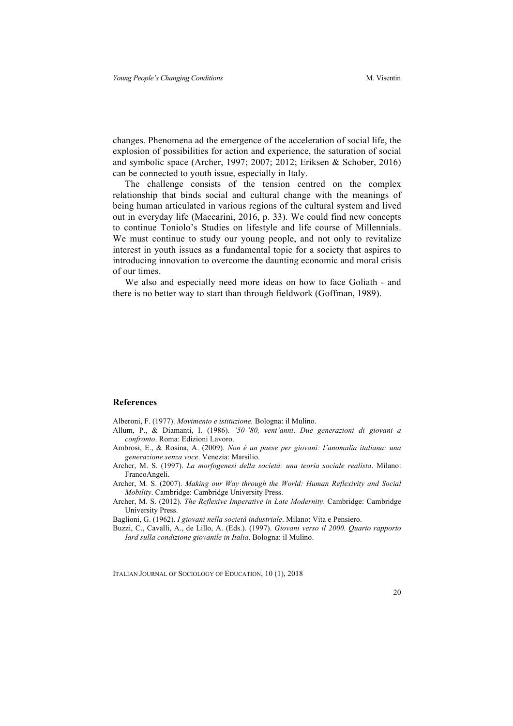changes. Phenomena ad the emergence of the acceleration of social life, the explosion of possibilities for action and experience, the saturation of social and symbolic space (Archer, 1997; 2007; 2012; Eriksen & Schober, 2016) can be connected to youth issue, especially in Italy.

The challenge consists of the tension centred on the complex relationship that binds social and cultural change with the meanings of being human articulated in various regions of the cultural system and lived out in everyday life (Maccarini, 2016, p. 33). We could find new concepts to continue Toniolo's Studies on lifestyle and life course of Millennials. We must continue to study our young people, and not only to revitalize interest in youth issues as a fundamental topic for a society that aspires to introducing innovation to overcome the daunting economic and moral crisis of our times.

We also and especially need more ideas on how to face Goliath - and there is no better way to start than through fieldwork (Goffman, 1989).

### **References**

Alberoni, F. (1977). *Movimento e istituzione.* Bologna: il Mulino.

- Allum, P., & Diamanti, I. (1986). *'50-'80, vent'anni*. *Due generazioni di giovani a confronto*. Roma: Edizioni Lavoro.
- Ambrosi, E., & Rosina, A. (2009). *Non è un paese per giovani: l'anomalia italiana: una generazione senza voce*. Venezia: Marsilio.
- Archer, M. S. (1997). *La morfogenesi della società: una teoria sociale realista*. Milano: FrancoAngeli.

Archer, M. S. (2007). *Making our Way through the World: Human Reflexivity and Social Mobility*. Cambridge: Cambridge University Press.

Archer, M. S. (2012). *The Reflexive Imperative in Late Modernity*. Cambridge: Cambridge University Press.

Baglioni, G. (1962). *I giovani nella società industriale*. Milano: Vita e Pensiero.

Buzzi, C., Cavalli, A., de Lillo, A. (Eds.). (1997). *Giovani verso il 2000. Quarto rapporto Iard sulla condizione giovanile in Italia*. Bologna: il Mulino.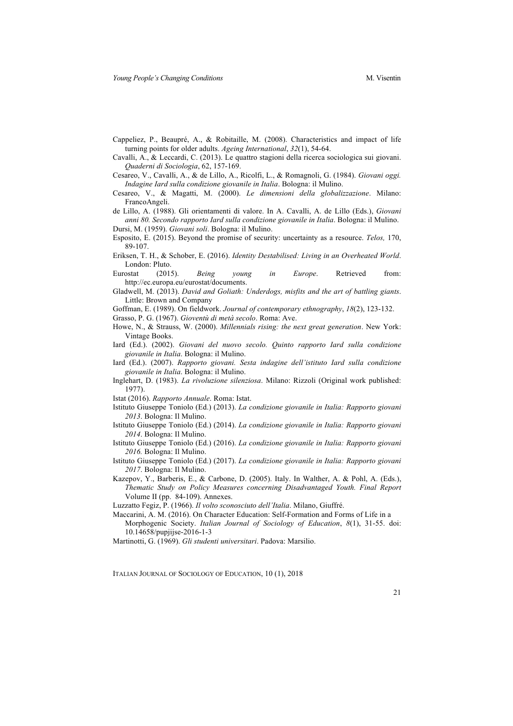- Cappeliez, P., Beaupré, A., & Robitaille, M. (2008). Characteristics and impact of life turning points for older adults. *Ageing International*, *32*(1), 54-64.
- Cavalli, A., & Leccardi, C. (2013). Le quattro stagioni della ricerca sociologica sui giovani. *Quaderni di Sociologia*, 62, 157-169.
- Cesareo, V., Cavalli, A., & de Lillo, A., Ricolfi, L., & Romagnoli, G. (1984). *Giovani oggi. Indagine Iard sulla condizione giovanile in Italia*. Bologna: il Mulino.
- Cesareo, V., & Magatti, M. (2000). *Le dimensioni della globalizzazione*. Milano: FrancoAngeli.
- de Lillo, A. (1988). Gli orientamenti di valore. In A. Cavalli, A. de Lillo (Eds.), *Giovani anni 80. Secondo rapporto Iard sulla condizione giovanile in Italia*. Bologna: il Mulino. Dursi, M. (1959). *Giovani soli*. Bologna: il Mulino.
- Esposito, E. (2015). Beyond the promise of security: uncertainty as a resource. *Telos,* 170, 89-107.
- Eriksen, T. H., & Schober, E. (2016). *Identity Destabilised: Living in an Overheated World*. London: Pluto.
- Eurostat (2015). *Being young in Europe*. Retrieved from: http://ec.europa.eu/eurostat/documents.
- Gladwell, M. (2013). *David and Goliath: Underdogs, misfits and the art of battling giants*. Little: Brown and Company

Goffman, E. (1989). On fieldwork. *Journal of contemporary ethnography*, *18*(2), 123-132.

- Grasso, P. G. (1967). *Gioventù di metà secolo*. Roma: Ave.
- Howe, N., & Strauss, W. (2000). *Millennials rising: the next great generation*. New York: Vintage Books.
- Iard (Ed.). (2002). *Giovani del nuovo secolo. Quinto rapporto Iard sulla condizione giovanile in Italia*. Bologna: il Mulino.
- Iard (Ed.). (2007). *Rapporto giovani. Sesta indagine dell'istituto Iard sulla condizione giovanile in Italia*. Bologna: il Mulino.
- Inglehart, D. (1983). *La rivoluzione silenziosa*. Milano: Rizzoli (Original work published: 1977).
- Istat (2016). *Rapporto Annuale*. Roma: Istat.
- Istituto Giuseppe Toniolo (Ed.) (2013). *La condizione giovanile in Italia: Rapporto giovani 2013*. Bologna: Il Mulino.
- Istituto Giuseppe Toniolo (Ed.) (2014). *La condizione giovanile in Italia: Rapporto giovani 2014*. Bologna: Il Mulino.
- Istituto Giuseppe Toniolo (Ed.) (2016). *La condizione giovanile in Italia: Rapporto giovani 2016.* Bologna: Il Mulino.
- Istituto Giuseppe Toniolo (Ed.) (2017). *La condizione giovanile in Italia: Rapporto giovani 2017*. Bologna: Il Mulino.
- Kazepov, Y., Barberis, E., & Carbone, D. (2005). Italy. In Walther, A. & Pohl, A. (Eds.), *Thematic Study on Policy Measures concerning Disadvantaged Youth. Final Report* Volume II (pp. 84-109). Annexes.

Luzzatto Fegiz, P. (1966). *Il volto sconosciuto dell'Italia*. Milano, Giuffré.

Maccarini, A. M. (2016). On Character Education: Self-Formation and Forms of Life in a

Morphogenic Society. *Italian Journal of Sociology of Education*, *8*(1), 31-55. doi: 10.14658/pupjijse-2016-1-3

Martinotti, G. (1969). *Gli studenti universitari*. Padova: Marsilio.